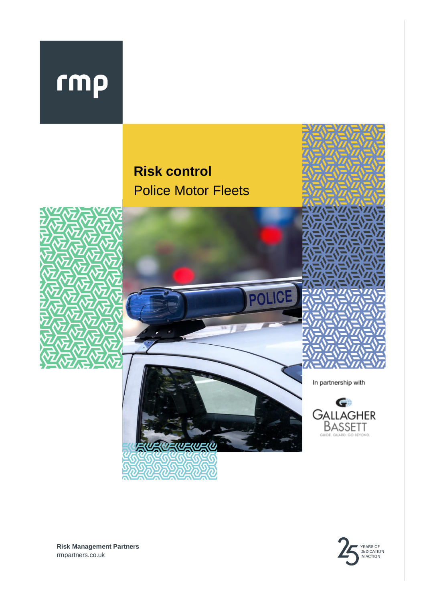# rmp

# **Risk control** Police Motor Fleets

EW REW KURU



POLICE





**Risk Management Partners** rmpartners.co.uk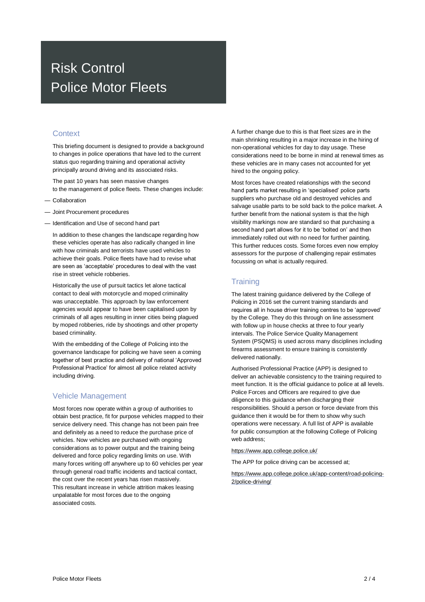# Risk Control Police Motor Fleets

## **Context**

This briefing document is designed to provide a background to changes in police operations that have led to the current status quo regarding training and operational activity principally around driving and its associated risks.

The past 10 years has seen massive changes to the management of police fleets. These changes include:

- Collaboration
- Joint Procurement procedures
- Identification and Use of second hand part

In addition to these changes the landscape regarding how these vehicles operate has also radically changed in line with how criminals and terrorists have used vehicles to achieve their goals. Police fleets have had to revise what are seen as 'acceptable' procedures to deal with the vast rise in street vehicle robberies.

Historically the use of pursuit tactics let alone tactical contact to deal with motorcycle and moped criminality was unacceptable. This approach by law enforcement agencies would appear to have been capitalised upon by criminals of all ages resulting in inner cities being plagued by moped robberies, ride by shootings and other property based criminality.

With the embedding of the College of Policing into the governance landscape for policing we have seen a coming together of best practice and delivery of national 'Approved Professional Practice' for almost all police related activity including driving.

## Vehicle Management

Most forces now operate within a group of authorities to obtain best practice, fit for purpose vehicles mapped to their service delivery need. This change has not been pain free and definitely as a need to reduce the purchase price of vehicles. Now vehicles are purchased with ongoing considerations as to power output and the training being delivered and force policy regarding limits on use. With many forces writing off anywhere up to 60 vehicles per year through general road traffic incidents and tactical contact, the cost over the recent years has risen massively. This resultant increase in vehicle attrition makes leasing unpalatable for most forces due to the ongoing associated costs.

A further change due to this is that fleet sizes are in the main shrinking resulting in a major increase in the hiring of non-operational vehicles for day to day usage. These considerations need to be borne in mind at renewal times as these vehicles are in many cases not accounted for yet hired to the ongoing policy.

Most forces have created relationships with the second hand parts market resulting in 'specialised' police parts suppliers who purchase old and destroyed vehicles and salvage usable parts to be sold back to the police market. A further benefit from the national system is that the high visibility markings now are standard so that purchasing a second hand part allows for it to be 'bolted on' and then immediately rolled out with no need for further painting. This further reduces costs. Some forces even now employ assessors for the purpose of challenging repair estimates focussing on what is actually required.

## **Training**

The latest training guidance delivered by the College of Policing in 2016 set the current training standards and requires all in house driver training centres to be 'approved' by the College. They do this through on line assessment with follow up in house checks at three to four yearly intervals. The Police Service Quality Management System (PSQMS) is used across many disciplines including firearms assessment to ensure training is consistently delivered nationally.

Authorised Professional Practice (APP) is designed to deliver an achievable consistency to the training required to meet function. It is the official guidance to police at all levels. Police Forces and Officers are required to give due diligence to this guidance when discharging their responsibilities. Should a person or force deviate from this guidance then it would be for them to show why such operations were necessary. A full list of APP is available for public consumption at the following College of Policing web address;

<https://www.app.college.police.uk/>

The APP for police driving can be accessed at;

[https://www.app.college.police.uk/app-content/road-policing-](https://www.app.college.police.uk/app-content/road-policing-2/police-driving/)[2/police-driving/](https://www.app.college.police.uk/app-content/road-policing-2/police-driving/)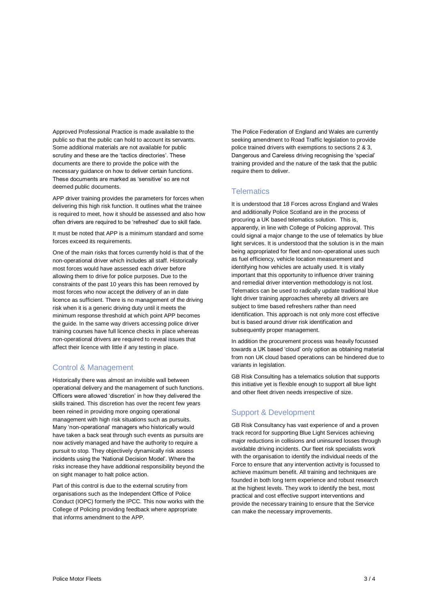Approved Professional Practice is made available to the public so that the public can hold to account its servants. Some additional materials are not available for public scrutiny and these are the 'tactics directories'. These documents are there to provide the police with the necessary guidance on how to deliver certain functions. These documents are marked as 'sensitive' so are not deemed public documents.

APP driver training provides the parameters for forces when delivering this high risk function. It outlines what the trainee is required to meet, how it should be assessed and also how often drivers are required to be 'refreshed' due to skill fade.

It must be noted that APP is a minimum standard and some forces exceed its requirements.

One of the main risks that forces currently hold is that of the non-operational driver which includes all staff. Historically most forces would have assessed each driver before allowing them to drive for police purposes. Due to the constraints of the past 10 years this has been removed by most forces who now accept the delivery of an in date licence as sufficient. There is no management of the driving risk when it is a generic driving duty until it meets the minimum response threshold at which point APP becomes the guide. In the same way drivers accessing police driver training courses have full licence checks in place whereas non-operational drivers are required to reveal issues that affect their licence with little if any testing in place.

#### Control & Management

Historically there was almost an invisible wall between operational delivery and the management of such functions. Officers were allowed 'discretion' in how they delivered the skills trained. This discretion has over the recent few years been reined in providing more ongoing operational management with high risk situations such as pursuits. Many 'non-operational' managers who historically would have taken a back seat through such events as pursuits are now actively managed and have the authority to require a pursuit to stop. They objectively dynamically risk assess incidents using the 'National Decision Model'. Where the risks increase they have additional responsibility beyond the on sight manager to halt police action.

Part of this control is due to the external scrutiny from organisations such as the Independent Office of Police Conduct (IOPC) formerly the IPCC. This now works with the College of Policing providing feedback where appropriate that informs amendment to the APP.

The Police Federation of England and Wales are currently seeking amendment to Road Traffic legislation to provide police trained drivers with exemptions to sections 2 & 3, Dangerous and Careless driving recognising the 'special' training provided and the nature of the task that the public require them to deliver.

#### **Telematics**

It is understood that 18 Forces across England and Wales and additionally Police Scotland are in the process of procuring a UK based telematics solution. This is, apparently, in line with College of Policing approval. This could signal a major change to the use of telematics by blue light services. It is understood that the solution is in the main being appropriated for fleet and non-operational uses such as fuel efficiency, vehicle location measurement and identifying how vehicles are actually used. It is vitally important that this opportunity to influence driver training and remedial driver intervention methodology is not lost. Telematics can be used to radically update traditional blue light driver training approaches whereby all drivers are subject to time based refreshers rather than need identification. This approach is not only more cost effective but is based around driver risk identification and subsequently proper management.

In addition the procurement process was heavily focussed towards a UK based 'cloud' only option as obtaining material from non UK cloud based operations can be hindered due to variants in legislation.

GB Risk Consulting has a telematics solution that supports this initiative yet is flexible enough to support all blue light and other fleet driven needs irrespective of size.

## Support & Development

GB Risk Consultancy has vast experience of and a proven track record for supporting Blue Light Services achieving major reductions in collisions and uninsured losses through avoidable driving incidents. Our fleet risk specialists work with the organisation to identify the individual needs of the Force to ensure that any intervention activity is focussed to achieve maximum benefit. All training and techniques are founded in both long term experience and robust research at the highest levels. They work to identify the best, most practical and cost effective support interventions and provide the necessary training to ensure that the Service can make the necessary improvements.